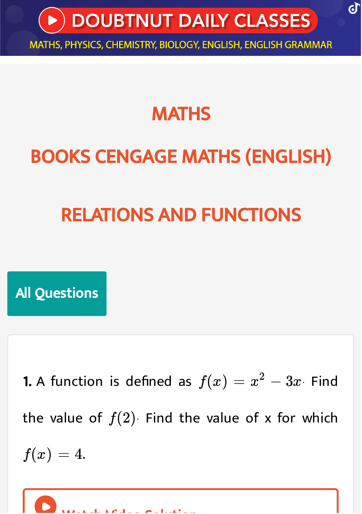

## **MATHS**

# BOOKS CENGAGE MATHS [\(ENGLISH\)](https://doubtnut.app.link/MVcbJvrhfnb)

# RELATIONS AND [FUNCTIONS](https://doubtnut.app.link/MVcbJvrhfnb)

All Questions

1. A [function](https://doubtnut.app.link/mMlOlOsm5nb) is defined as  $f(x)=x^2-3x$  Find the value of  $f(2)$ . Find the value of x for which  $f(x) = 4.$ 

W taking  $M$  d  $\sim$   $\sigma$  all times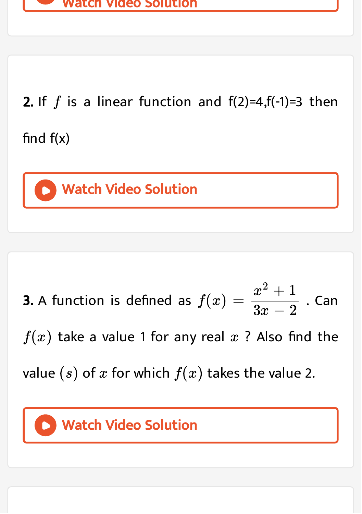

**2.** If  $f$  is a linear function and [f\(2\)=4,f\(-1\)=3](https://doubtnut.app.link/nMlOlOsm5nb) then

find  $f(x)$ 

Watch Video Solution

**3.** A function is defined as  $f(x) = \frac{x^2 + 1}{2x - 2}$  . Can  $f(x)$  take a value 1 for any real  $x$  ? Also find the value  $(s)$  of  $x$  for which  $f(x)$  takes the value 2.  $\overline{3x-2}$ 

#### Watch Video [Solution](https://doubtnut.app.link/oMlOlOsm5nb)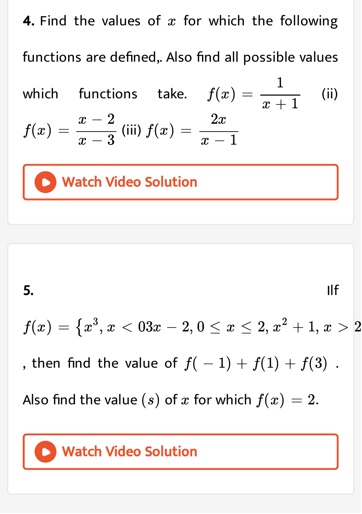**4.** Find the values of  $x$  for which the following [functions](https://doubtnut.app.link/pMlOlOsm5nb) are defined,. Also find all possible values which functions take.  $f(x) = \frac{1}{x+1}$  (ii)  $f(x) = \frac{x-2}{x-2}$  (iii) 1  $\overline{x+1}$  $x-2$  $\overline{x-3}$  $f(x) =$  $2x$  $\overline{x-1}$ 

Watch Video Solution



### Watch Video [Solution](https://doubtnut.app.link/qMlOlOsm5nb)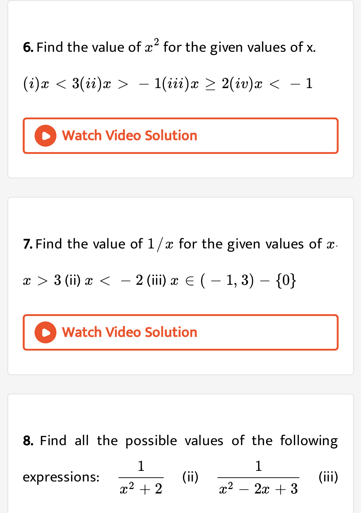**6.** Find the value of  $x^2$  for the given values of x.

 $(i)x < 3(ii)x > -1(iii)x \geq 2(iv)x < -1$  $(i)x < 3(ii)x > -1(iii)x \geq 2(iv)x < -1$  $(i)x < 3(ii)x > -1(iii)x \geq 2(iv)x < -1$ 

## Watch Video Solution

**7.** Find the value of  $1/x$  for the given values of  $x$ .

 $(x > 3$  (ii)  $x < -2$  (iii)  $x \in (-1, 3) - \{0\}$ 

#### **D** Watch Video [Solution](https://doubtnut.app.link/tMlOlOsm5nb)

8. Find all the possible values of the following [expressions:](https://doubtnut.app.link/sMlOlOsm5nb)  $\frac{1}{2}$  (ii)  $\frac{1}{2}$  (iii) (iii) 1  $x^2+2$ 1  $x^2-2x+3$